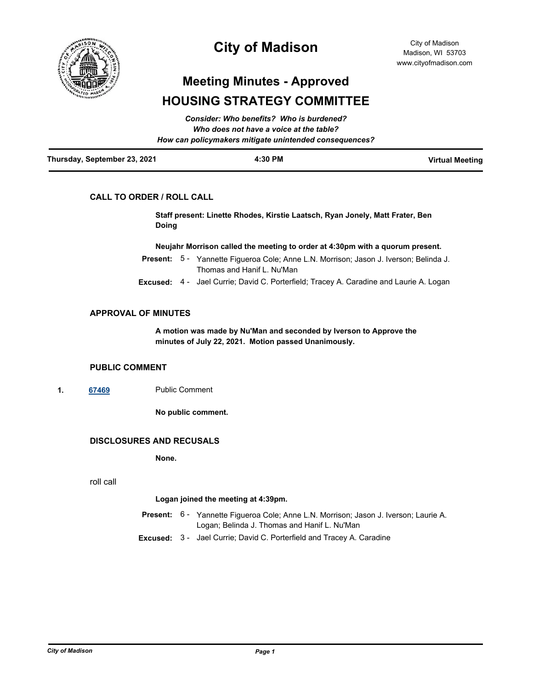

# **City of Madison**

# **Meeting Minutes - Approved HOUSING STRATEGY COMMITTEE**

|                              | How can policymakers mitigate unintended consequences? |                        |
|------------------------------|--------------------------------------------------------|------------------------|
| Thursday, September 23, 2021 | 4:30 PM                                                | <b>Virtual Meeting</b> |

# **CALL TO ORDER / ROLL CALL**

**Staff present: Linette Rhodes, Kirstie Laatsch, Ryan Jonely, Matt Frater, Ben Doing**

**Neujahr Morrison called the meeting to order at 4:30pm with a quorum present.**

- Present: 5 Yannette Figueroa Cole; Anne L.N. Morrison; Jason J. Iverson; Belinda J. Thomas and Hanif L. Nu'Man
- **Excused:** 4 Jael Currie; David C. Porterfield; Tracey A. Caradine and Laurie A. Logan

### **APPROVAL OF MINUTES**

**A motion was made by Nu'Man and seconded by Iverson to Approve the minutes of July 22, 2021. Motion passed Unanimously.**

#### **PUBLIC COMMENT**

**1. [67469](http://madison.legistar.com/gateway.aspx?m=l&id=/matter.aspx?key=79371)** Public Comment

**No public comment.**

# **DISCLOSURES AND RECUSALS**

**None.**

roll call

#### **Logan joined the meeting at 4:39pm.**

- Present: 6 Yannette Figueroa Cole; Anne L.N. Morrison; Jason J. Iverson; Laurie A. Logan; Belinda J. Thomas and Hanif L. Nu'Man
- **Excused:** 3 Jael Currie; David C. Porterfield and Tracey A. Caradine